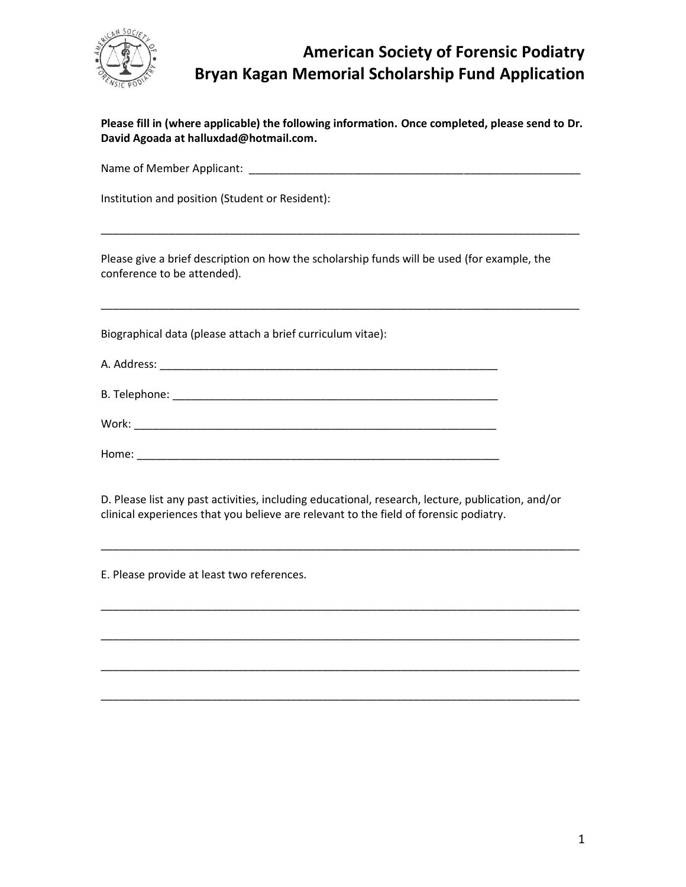

## **American Society of Forensic Podiatry Bryan Kagan Memorial Scholarship Fund Application**

| Please fill in (where applicable) the following information. Once completed, please send to Dr. |
|-------------------------------------------------------------------------------------------------|
| David Agoada at halluxdad@hotmail.com.                                                          |

Name of Member Applicant: \_\_\_\_\_\_\_\_\_\_\_\_\_\_\_\_\_\_\_\_\_\_\_\_\_\_\_\_\_\_\_\_\_\_\_\_\_\_\_\_\_\_\_\_\_\_\_\_\_\_\_\_\_\_

\_\_\_\_\_\_\_\_\_\_\_\_\_\_\_\_\_\_\_\_\_\_\_\_\_\_\_\_\_\_\_\_\_\_\_\_\_\_\_\_\_\_\_\_\_\_\_\_\_\_\_\_\_\_\_\_\_\_\_\_\_\_\_\_\_\_\_\_\_\_\_\_\_\_\_\_\_\_

\_\_\_\_\_\_\_\_\_\_\_\_\_\_\_\_\_\_\_\_\_\_\_\_\_\_\_\_\_\_\_\_\_\_\_\_\_\_\_\_\_\_\_\_\_\_\_\_\_\_\_\_\_\_\_\_\_\_\_\_\_\_\_\_\_\_\_\_\_\_\_\_\_\_\_\_\_\_

Institution and position (Student or Resident):

Please give a brief description on how the scholarship funds will be used (for example, the conference to be attended).

Biographical data (please attach a brief curriculum vitae):

| A. Address: |  |
|-------------|--|
|             |  |

| Work: |
|-------|
|-------|

| Home: |  |
|-------|--|
|       |  |

D. Please list any past activities, including educational, research, lecture, publication, and/or clinical experiences that you believe are relevant to the field of forensic podiatry.

\_\_\_\_\_\_\_\_\_\_\_\_\_\_\_\_\_\_\_\_\_\_\_\_\_\_\_\_\_\_\_\_\_\_\_\_\_\_\_\_\_\_\_\_\_\_\_\_\_\_\_\_\_\_\_\_\_\_\_\_\_\_\_\_\_\_\_\_\_\_\_\_\_\_\_\_\_\_

\_\_\_\_\_\_\_\_\_\_\_\_\_\_\_\_\_\_\_\_\_\_\_\_\_\_\_\_\_\_\_\_\_\_\_\_\_\_\_\_\_\_\_\_\_\_\_\_\_\_\_\_\_\_\_\_\_\_\_\_\_\_\_\_\_\_\_\_\_\_\_\_\_\_\_\_\_\_

\_\_\_\_\_\_\_\_\_\_\_\_\_\_\_\_\_\_\_\_\_\_\_\_\_\_\_\_\_\_\_\_\_\_\_\_\_\_\_\_\_\_\_\_\_\_\_\_\_\_\_\_\_\_\_\_\_\_\_\_\_\_\_\_\_\_\_\_\_\_\_\_\_\_\_\_\_\_

\_\_\_\_\_\_\_\_\_\_\_\_\_\_\_\_\_\_\_\_\_\_\_\_\_\_\_\_\_\_\_\_\_\_\_\_\_\_\_\_\_\_\_\_\_\_\_\_\_\_\_\_\_\_\_\_\_\_\_\_\_\_\_\_\_\_\_\_\_\_\_\_\_\_\_\_\_\_

\_\_\_\_\_\_\_\_\_\_\_\_\_\_\_\_\_\_\_\_\_\_\_\_\_\_\_\_\_\_\_\_\_\_\_\_\_\_\_\_\_\_\_\_\_\_\_\_\_\_\_\_\_\_\_\_\_\_\_\_\_\_\_\_\_\_\_\_\_\_\_\_\_\_\_\_\_\_

E. Please provide at least two references.